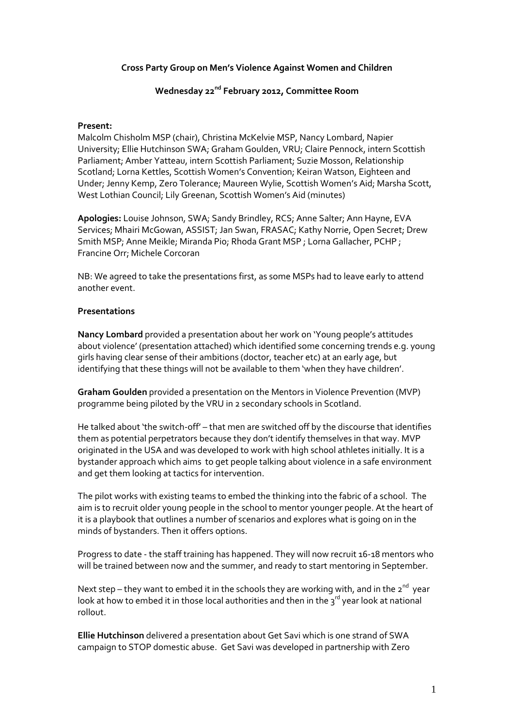## **Cross Party Group on Men's Violence Against Women and Children**

# **Wednesday 22nd February 2012, Committee Room**

## **Present:**

Malcolm Chisholm MSP (chair), Christina McKelvie MSP, Nancy Lombard, Napier University; Ellie Hutchinson SWA; Graham Goulden, VRU; Claire Pennock, intern Scottish Parliament; Amber Yatteau, intern Scottish Parliament; Suzie Mosson, Relationship Scotland; Lorna Kettles, Scottish Women's Convention; Keiran Watson, Eighteen and Under; Jenny Kemp, Zero Tolerance; Maureen Wylie, Scottish Women's Aid; Marsha Scott, West Lothian Council; Lily Greenan, Scottish Women's Aid (minutes)

**Apologies:** Louise Johnson, SWA; Sandy Brindley, RCS; Anne Salter; Ann Hayne, EVA Services; Mhairi McGowan, ASSIST; Jan Swan, FRASAC; Kathy Norrie, Open Secret; Drew Smith MSP; Anne Meikle; Miranda Pio; Rhoda Grant MSP ; Lorna Gallacher, PCHP ; Francine Orr; Michele Corcoran

NB: We agreed to take the presentations first, as some MSPs had to leave early to attend another event.

# **Presentations**

**Nancy Lombard** provided a presentation about her work on 'Young people's attitudes about violence' (presentation attached) which identified some concerning trends e.g. young girls having clear sense of their ambitions (doctor, teacher etc) at an early age, but identifying that these things will not be available to them 'when they have children'.

**Graham Goulden** provided a presentation on the Mentors in Violence Prevention (MVP) programme being piloted by the VRU in 2 secondary schools in Scotland.

He talked about 'the switch-off' – that men are switched off by the discourse that identifies them as potential perpetrators because they don't identify themselves in that way. MVP originated in the USA and was developed to work with high school athletes initially. It is a bystander approach which aims to get people talking about violence in a safe environment and get them looking at tactics for intervention.

The pilot works with existing teams to embed the thinking into the fabric of a school. The aim is to recruit older young people in the school to mentor younger people. At the heart of it is a playbook that outlines a number of scenarios and explores what is going on in the minds of bystanders. Then it offers options.

Progress to date - the staff training has happened. They will now recruit 16-18 mentors who will be trained between now and the summer, and ready to start mentoring in September.

Next step – they want to embed it in the schools they are working with, and in the 2<sup>nd</sup> year look at how to embed it in those local authorities and then in the  $3^{rd}$  year look at national rollout.

**Ellie Hutchinson** delivered a presentation about Get Savi which is one strand of SWA campaign to STOP domestic abuse. Get Savi was developed in partnership with Zero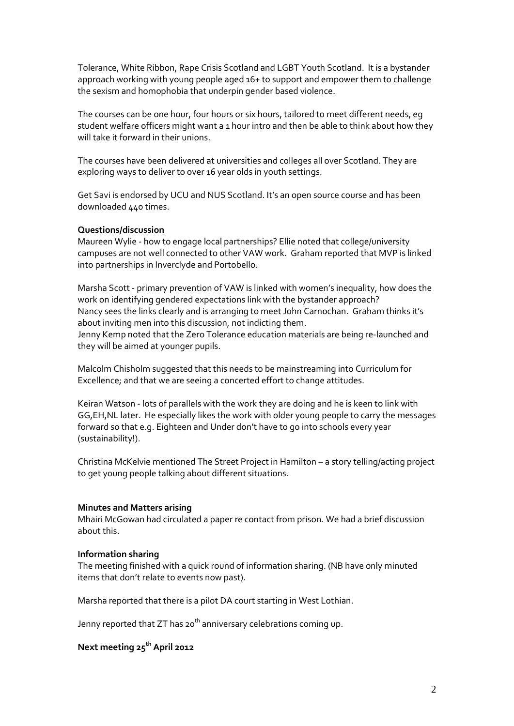Tolerance, White Ribbon, Rape Crisis Scotland and LGBT Youth Scotland. It is a bystander approach working with young people aged 16+ to support and empower them to challenge the sexism and homophobia that underpin gender based violence.

The courses can be one hour, four hours or six hours, tailored to meet different needs, eg student welfare officers might want a 1 hour intro and then be able to think about how they will take it forward in their unions.

The courses have been delivered at universities and colleges all over Scotland. They are exploring ways to deliver to over 16 year olds in youth settings.

Get Savi is endorsed by UCU and NUS Scotland. It's an open source course and has been downloaded 440 times.

## **Questions/discussion**

Maureen Wylie - how to engage local partnerships? Ellie noted that college/university campuses are not well connected to other VAW work. Graham reported that MVP is linked into partnerships in Inverclyde and Portobello.

Marsha Scott - primary prevention of VAW is linked with women's inequality, how does the work on identifying gendered expectations link with the bystander approach? Nancy sees the links clearly and is arranging to meet John Carnochan. Graham thinks it's about inviting men into this discussion, not indicting them. Jenny Kemp noted that the Zero Tolerance education materials are being re-launched and they will be aimed at younger pupils.

Malcolm Chisholm suggested that this needs to be mainstreaming into Curriculum for Excellence; and that we are seeing a concerted effort to change attitudes.

Keiran Watson - lots of parallels with the work they are doing and he is keen to link with GG,EH,NL later. He especially likes the work with older young people to carry the messages forward so that e.g. Eighteen and Under don't have to go into schools every year (sustainability!).

Christina McKelvie mentioned The Street Project in Hamilton – a story telling/acting project to get young people talking about different situations.

#### **Minutes and Matters arising**

Mhairi McGowan had circulated a paper re contact from prison. We had a brief discussion about this.

#### **Information sharing**

The meeting finished with a quick round of information sharing. (NB have only minuted items that don't relate to events now past).

Marsha reported that there is a pilot DA court starting in West Lothian.

Jenny reported that ZT has 20<sup>th</sup> anniversary celebrations coming up.

# **Next meeting 25 th April 2012**